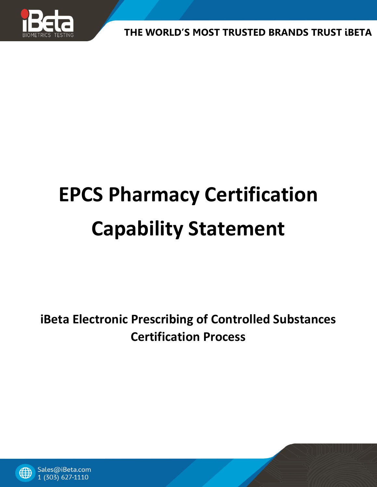

# **EPCS Pharmacy Certification Capability Statement**

**iBeta Electronic Prescribing of Controlled Substances Certification Process**

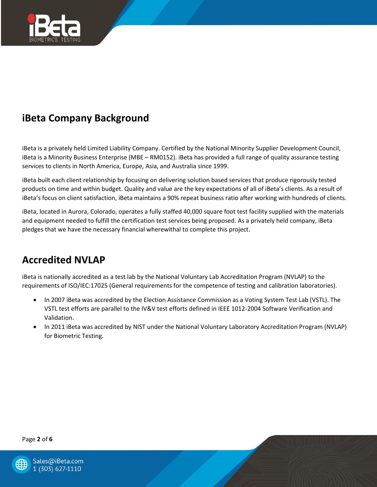

# **iBeta Company Background**

iBeta is a privately held Limited Liability Company. Certified by the National Minority Supplier Development Council, iBeta is a Minority Business Enterprise (MBE – RM0152). iBeta has provided a full range of quality assurance testing services to clients in North America, Europe, Asia, and Australia since 1999.

iBeta built each client relationship by focusing on delivering solution based services that produce rigorously tested products on time and within budget. Quality and value are the key expectations of all of iBeta's clients. As a result of iBeta's focus on client satisfaction, iBeta maintains a 90% repeat business ratio after working with hundreds of clients.

iBeta, located in Aurora, Colorado, operates a fully staffed 40,000 square foot test facility supplied with the materials and equipment needed to fulfill the certification test services being proposed. As a privately held company, iBeta pledges that we have the necessary financial wherewithal to complete this project.

## **Accredited NVLAP**

iBeta is nationally accredited as a test lab by the National Voluntary Lab Accreditation Program (NVLAP) to the requirements of ISO/IEC:17025 (General requirements for the competence of testing and calibration laboratories).

- In 2007 iBeta was accredited by the Election Assistance Commission as a Voting System Test Lab (VSTL). The VSTL test efforts are parallel to the IV&V test efforts defined in IEEE 1012-2004 Software Verification and Validation.
- In 2011 iBeta was accredited by NIST under the National Voluntary Laboratory Accreditation Program (NVLAP) for Biometric Testing.

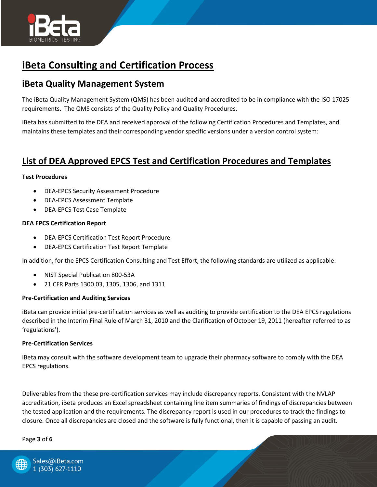

## **iBeta Consulting and Certification Process**

### **iBeta Quality Management System**

The iBeta Quality Management System (QMS) has been audited and accredited to be in compliance with the ISO 17025 requirements. The QMS consists of the Quality Policy and Quality Procedures.

iBeta has submitted to the DEA and received approval of the following Certification Procedures and Templates, and maintains these templates and their corresponding vendor specific versions under a version control system:

## **List of DEA Approved EPCS Test and Certification Procedures and Templates**

#### **Test Procedures**

- DEA-EPCS Security Assessment Procedure
- DEA-EPCS Assessment Template
- DEA-EPCS Test Case Template

#### **DEA EPCS Certification Report**

- DEA-EPCS Certification Test Report Procedure
- DEA-EPCS Certification Test Report Template

In addition, for the EPCS Certification Consulting and Test Effort, the following standards are utilized as applicable:

- NIST Special Publication 800-53A
- 21 CFR Parts 1300.03, 1305, 1306, and 1311

#### **Pre-Certification and Auditing Services**

iBeta can provide initial pre-certification services as well as auditing to provide certification to the DEA EPCS regulations described in the Interim Final Rule of March 31, 2010 and the Clarification of October 19, 2011 (hereafter referred to as 'regulations').

#### **Pre-Certification Services**

iBeta may consult with the software development team to upgrade their pharmacy software to comply with the DEA EPCS regulations.

Deliverables from the these pre-certification services may include discrepancy reports. Consistent with the NVLAP accreditation, iBeta produces an Excel spreadsheet containing line item summaries of findings of discrepancies between the tested application and the requirements. The discrepancy report is used in our procedures to track the findings to closure. Once all discrepancies are closed and the software is fully functional, then it is capable of passing an audit.

Page **3** of **6**

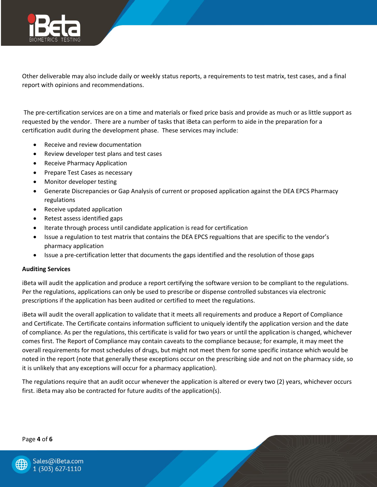

Other deliverable may also include daily or weekly status reports, a requirements to test matrix, test cases, and a final report with opinions and recommendations.

The pre-certification services are on a time and materials or fixed price basis and provide as much or as little support as requested by the vendor. There are a number of tasks that iBeta can perform to aide in the preparation for a certification audit during the development phase. These services may include:

- Receive and review documentation
- Review developer test plans and test cases
- Receive Pharmacy Application
- Prepare Test Cases as necessary
- Monitor developer testing
- Generate Discrepancies or Gap Analysis of current or proposed application against the DEA EPCS Pharmacy regulations
- Receive updated application
- Retest assess identified gaps
- Iterate through process until candidate application is read for certification
- Issue a regulation to test matrix that contains the DEA EPCS regualtions that are specific to the vendor's pharmacy application
- Issue a pre-certification letter that documents the gaps identified and the resolution of those gaps

#### **Auditing Services**

iBeta will audit the application and produce a report certifying the software version to be compliant to the regulations. Per the regulations, applications can only be used to prescribe or dispense controlled substances via electronic prescriptions if the application has been audited or certified to meet the regulations.

iBeta will audit the overall application to validate that it meets all requirements and produce a Report of Compliance and Certificate. The Certificate contains information sufficient to uniquely identify the application version and the date of compliance. As per the regulations, this certificate is valid for two years or until the application is changed, whichever comes first. The Report of Compliance may contain caveats to the compliance because; for example, it may meet the overall requirements for most schedules of drugs, but might not meet them for some specific instance which would be noted in the report (note that generally these exceptions occur on the prescribing side and not on the pharmacy side, so it is unlikely that any exceptions will occur for a pharmacy application).

The regulations require that an audit occur whenever the application is altered or every two (2) years, whichever occurs first. iBeta may also be contracted for future audits of the application(s).

Page **4** of **6**

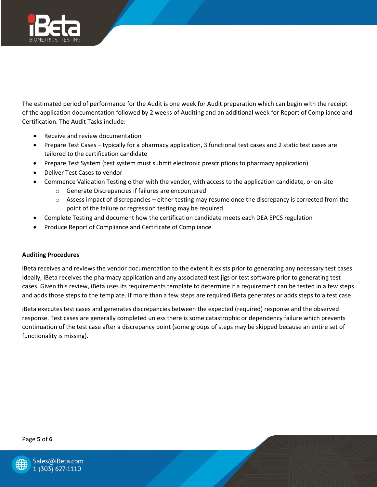

The estimated period of performance for the Audit is one week for Audit preparation which can begin with the receipt of the application documentation followed by 2 weeks of Auditing and an additional week for Report of Compliance and Certification. The Audit Tasks include:

- Receive and review documentation
- Prepare Test Cases typically for a pharmacy application, 3 functional test cases and 2 static test cases are tailored to the certification candidate
- Prepare Test System (test system must submit electronic prescriptions to pharmacy application)
- Deliver Test Cases to vendor
- Commence Validation Testing either with the vendor, with access to the application candidate, or on-site
	- o Generate Discrepancies if failures are encountered
	- $\circ$  Assess impact of discrepancies either testing may resume once the discrepancy is corrected from the point of the failure or regression testing may be required
- Complete Testing and document how the certification candidate meets each DEA EPCS regulation
- Produce Report of Compliance and Certificate of Compliance

#### **Auditing Procedures**

iBeta receives and reviews the vendor documentation to the extent it exists prior to generating any necessary test cases. Ideally, iBeta receives the pharmacy application and any associated test jigs or test software prior to generating test cases. Given this review, iBeta uses its requirements template to determine if a requirement can be tested in a few steps and adds those steps to the template. If more than a few steps are required iBeta generates or adds steps to a test case.

iBeta executes test cases and generates discrepancies between the expected (required) response and the observed response. Test cases are generally completed unless there is some catastrophic or dependency failure which prevents continuation of the test case after a discrepancy point (some groups of steps may be skipped because an entire set of functionality is missing).

#### Page **5** of **6**